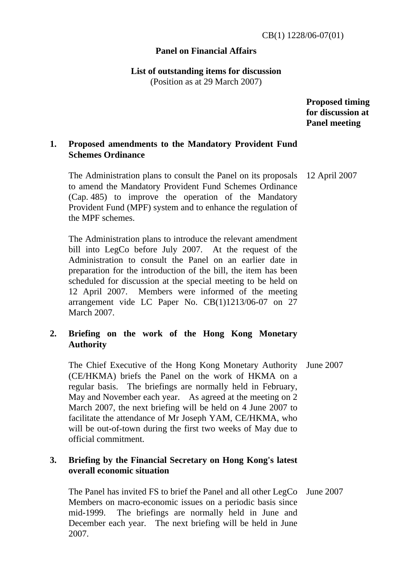## **Panel on Financial Affairs**

## **List of outstanding items for discussion**

(Position as at 29 March 2007)

 **Proposed timing for discussion at Panel meeting** 

## **1. Proposed amendments to the Mandatory Provident Fund Schemes Ordinance**

 The Administration plans to consult the Panel on its proposals to amend the Mandatory Provident Fund Schemes Ordinance (Cap. 485) to improve the operation of the Mandatory Provident Fund (MPF) system and to enhance the regulation of the MPF schemes. 12 April 2007

 The Administration plans to introduce the relevant amendment bill into LegCo before July 2007. At the request of the Administration to consult the Panel on an earlier date in preparation for the introduction of the bill, the item has been scheduled for discussion at the special meeting to be held on 12 April 2007. Members were informed of the meeting arrangement vide LC Paper No. CB(1)1213/06-07 on 27 March 2007.

# **2. Briefing on the work of the Hong Kong Monetary Authority**

 The Chief Executive of the Hong Kong Monetary Authority (CE/HKMA) briefs the Panel on the work of HKMA on a regular basis. The briefings are normally held in February, May and November each year. As agreed at the meeting on 2 March 2007, the next briefing will be held on 4 June 2007 to facilitate the attendance of Mr Joseph YAM, CE/HKMA, who will be out-of-town during the first two weeks of May due to official commitment. June 2007

# **3. Briefing by the Financial Secretary on Hong Kong's latest overall economic situation**

 The Panel has invited FS to brief the Panel and all other LegCo June 2007 Members on macro-economic issues on a periodic basis since mid-1999. The briefings are normally held in June and December each year. The next briefing will be held in June 2007.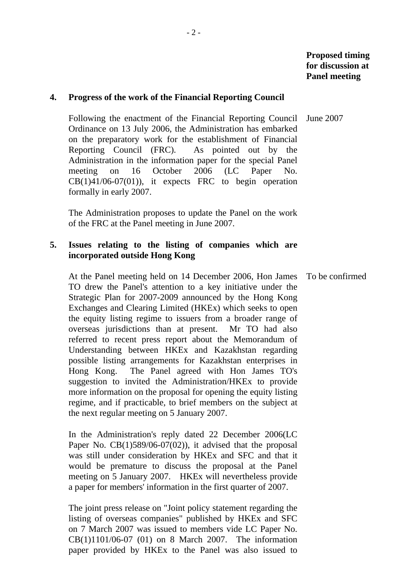#### **4. Progress of the work of the Financial Reporting Council**

 Following the enactment of the Financial Reporting Council Ordinance on 13 July 2006, the Administration has embarked on the preparatory work for the establishment of Financial Reporting Council (FRC). As pointed out by the Administration in the information paper for the special Panel meeting on 16 October 2006 (LC Paper No.  $CB(1)41/06-07(01)$ , it expects FRC to begin operation formally in early 2007. June 2007

 The Administration proposes to update the Panel on the work of the FRC at the Panel meeting in June 2007.

### **5. Issues relating to the listing of companies which are incorporated outside Hong Kong**

 At the Panel meeting held on 14 December 2006, Hon James TO drew the Panel's attention to a key initiative under the Strategic Plan for 2007-2009 announced by the Hong Kong Exchanges and Clearing Limited (HKEx) which seeks to open the equity listing regime to issuers from a broader range of overseas jurisdictions than at present. Mr TO had also referred to recent press report about the Memorandum of Understanding between HKEx and Kazakhstan regarding possible listing arrangements for Kazakhstan enterprises in Hong Kong. The Panel agreed with Hon James TO's suggestion to invited the Administration/HKEx to provide more information on the proposal for opening the equity listing regime, and if practicable, to brief members on the subject at the next regular meeting on 5 January 2007. To be confirmed

 In the Administration's reply dated 22 December 2006(LC Paper No.  $CB(1)589/06-07(02)$ , it advised that the proposal was still under consideration by HKEx and SFC and that it would be premature to discuss the proposal at the Panel meeting on 5 January 2007. HKEx will nevertheless provide a paper for members' information in the first quarter of 2007.

 The joint press release on "Joint policy statement regarding the listing of overseas companies" published by HKEx and SFC on 7 March 2007 was issued to members vide LC Paper No. CB(1)1101/06-07 (01) on 8 March 2007. The information paper provided by HKEx to the Panel was also issued to

- 2 -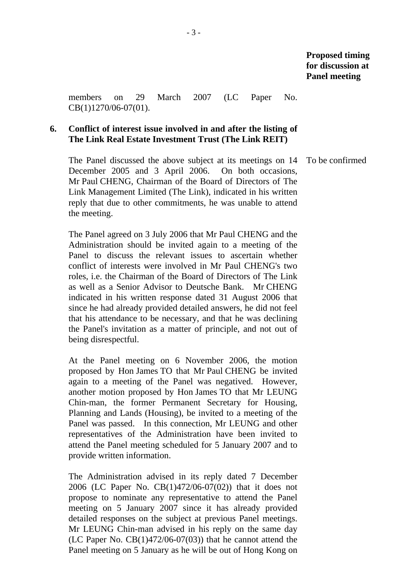members on 29 March 2007 (LC Paper No. CB(1)1270/06-07(01).

### **6. Conflict of interest issue involved in and after the listing of The Link Real Estate Investment Trust (The Link REIT)**

 The Panel discussed the above subject at its meetings on 14 December 2005 and 3 April 2006. On both occasions, Mr Paul CHENG, Chairman of the Board of Directors of The Link Management Limited (The Link), indicated in his written reply that due to other commitments, he was unable to attend the meeting. To be confirmed

 The Panel agreed on 3 July 2006 that Mr Paul CHENG and the Administration should be invited again to a meeting of the Panel to discuss the relevant issues to ascertain whether conflict of interests were involved in Mr Paul CHENG's two roles, i.e. the Chairman of the Board of Directors of The Link as well as a Senior Advisor to Deutsche Bank. Mr CHENG indicated in his written response dated 31 August 2006 that since he had already provided detailed answers, he did not feel that his attendance to be necessary, and that he was declining the Panel's invitation as a matter of principle, and not out of being disrespectful.

 At the Panel meeting on 6 November 2006, the motion proposed by Hon James TO that Mr Paul CHENG be invited again to a meeting of the Panel was negatived. However, another motion proposed by Hon James TO that Mr LEUNG Chin-man, the former Permanent Secretary for Housing, Planning and Lands (Housing), be invited to a meeting of the Panel was passed. In this connection, Mr LEUNG and other representatives of the Administration have been invited to attend the Panel meeting scheduled for 5 January 2007 and to provide written information.

 The Administration advised in its reply dated 7 December 2006 (LC Paper No. CB(1)472/06-07(02)) that it does not propose to nominate any representative to attend the Panel meeting on 5 January 2007 since it has already provided detailed responses on the subject at previous Panel meetings. Mr LEUNG Chin-man advised in his reply on the same day (LC Paper No.  $CB(1)472/06-07(03)$ ) that he cannot attend the Panel meeting on 5 January as he will be out of Hong Kong on

- 3 -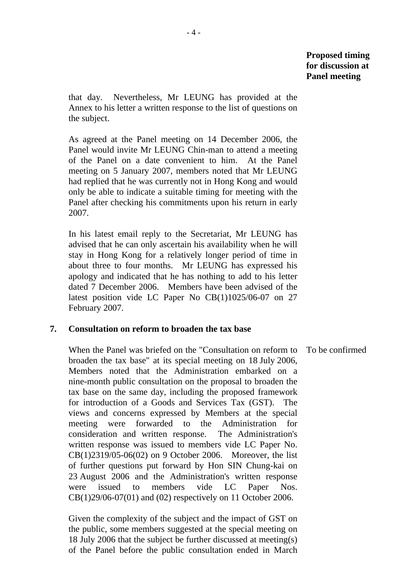that day. Nevertheless, Mr LEUNG has provided at the Annex to his letter a written response to the list of questions on the subject.

 As agreed at the Panel meeting on 14 December 2006, the Panel would invite Mr LEUNG Chin-man to attend a meeting of the Panel on a date convenient to him. At the Panel meeting on 5 January 2007, members noted that Mr LEUNG had replied that he was currently not in Hong Kong and would only be able to indicate a suitable timing for meeting with the Panel after checking his commitments upon his return in early 2007.

 In his latest email reply to the Secretariat, Mr LEUNG has advised that he can only ascertain his availability when he will stay in Hong Kong for a relatively longer period of time in about three to four months. Mr LEUNG has expressed his apology and indicated that he has nothing to add to his letter dated 7 December 2006. Members have been advised of the latest position vide LC Paper No CB(1)1025/06-07 on 27 February 2007.

#### **7. Consultation on reform to broaden the tax base**

 When the Panel was briefed on the "Consultation on reform to broaden the tax base" at its special meeting on 18 July 2006, Members noted that the Administration embarked on a nine-month public consultation on the proposal to broaden the tax base on the same day, including the proposed framework for introduction of a Goods and Services Tax (GST). The views and concerns expressed by Members at the special meeting were forwarded to the Administration for consideration and written response. The Administration's written response was issued to members vide LC Paper No. CB(1)2319/05-06(02) on 9 October 2006. Moreover, the list of further questions put forward by Hon SIN Chung-kai on 23 August 2006 and the Administration's written response were issued to members vide LC Paper Nos. CB(1)29/06-07(01) and (02) respectively on 11 October 2006.

 Given the complexity of the subject and the impact of GST on the public, some members suggested at the special meeting on 18 July 2006 that the subject be further discussed at meeting(s) of the Panel before the public consultation ended in March

To be confirmed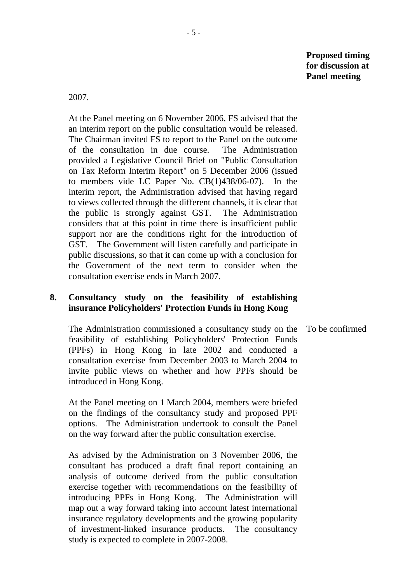2007.

 At the Panel meeting on 6 November 2006, FS advised that the an interim report on the public consultation would be released. The Chairman invited FS to report to the Panel on the outcome of the consultation in due course. The Administration provided a Legislative Council Brief on "Public Consultation on Tax Reform Interim Report" on 5 December 2006 (issued to members vide LC Paper No. CB(1)438/06-07). In the interim report, the Administration advised that having regard to views collected through the different channels, it is clear that the public is strongly against GST. The Administration considers that at this point in time there is insufficient public support nor are the conditions right for the introduction of GST. The Government will listen carefully and participate in public discussions, so that it can come up with a conclusion for the Government of the next term to consider when the consultation exercise ends in March 2007.

#### **8. Consultancy study on the feasibility of establishing insurance Policyholders' Protection Funds in Hong Kong**

 The Administration commissioned a consultancy study on the feasibility of establishing Policyholders' Protection Funds (PPFs) in Hong Kong in late 2002 and conducted a consultation exercise from December 2003 to March 2004 to invite public views on whether and how PPFs should be introduced in Hong Kong. To be confirmed

 At the Panel meeting on 1 March 2004, members were briefed on the findings of the consultancy study and proposed PPF options. The Administration undertook to consult the Panel on the way forward after the public consultation exercise.

 As advised by the Administration on 3 November 2006, the consultant has produced a draft final report containing an analysis of outcome derived from the public consultation exercise together with recommendations on the feasibility of introducing PPFs in Hong Kong. The Administration will map out a way forward taking into account latest international insurance regulatory developments and the growing popularity of investment-linked insurance products. The consultancy study is expected to complete in 2007-2008.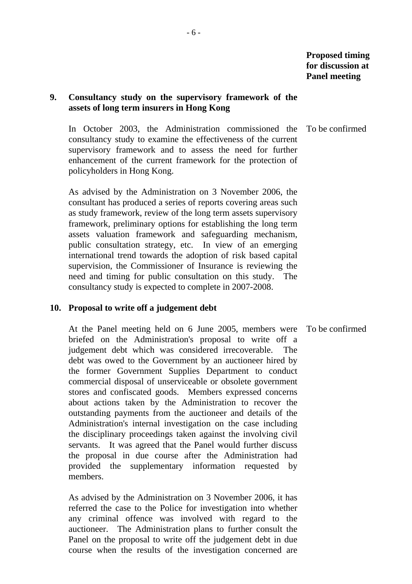## **9. Consultancy study on the supervisory framework of the assets of long term insurers in Hong Kong**

#### To be confirmed

 In October 2003, the Administration commissioned the consultancy study to examine the effectiveness of the current supervisory framework and to assess the need for further enhancement of the current framework for the protection of policyholders in Hong Kong.

 As advised by the Administration on 3 November 2006, the consultant has produced a series of reports covering areas such as study framework, review of the long term assets supervisory framework, preliminary options for establishing the long term assets valuation framework and safeguarding mechanism, public consultation strategy, etc. In view of an emerging international trend towards the adoption of risk based capital supervision, the Commissioner of Insurance is reviewing the need and timing for public consultation on this study. The consultancy study is expected to complete in 2007-2008.

#### **10. Proposal to write off a judgement debt**

 At the Panel meeting held on 6 June 2005, members were briefed on the Administration's proposal to write off a judgement debt which was considered irrecoverable. The debt was owed to the Government by an auctioneer hired by the former Government Supplies Department to conduct commercial disposal of unserviceable or obsolete government stores and confiscated goods. Members expressed concerns about actions taken by the Administration to recover the outstanding payments from the auctioneer and details of the Administration's internal investigation on the case including the disciplinary proceedings taken against the involving civil servants. It was agreed that the Panel would further discuss the proposal in due course after the Administration had provided the supplementary information requested by members. To be confirmed

 As advised by the Administration on 3 November 2006, it has referred the case to the Police for investigation into whether any criminal offence was involved with regard to the auctioneer. The Administration plans to further consult the Panel on the proposal to write off the judgement debt in due course when the results of the investigation concerned are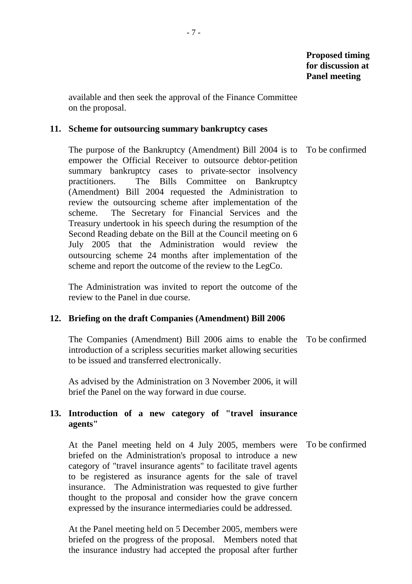available and then seek the approval of the Finance Committee on the proposal.

#### **11. Scheme for outsourcing summary bankruptcy cases**

 The purpose of the Bankruptcy (Amendment) Bill 2004 is to empower the Official Receiver to outsource debtor-petition summary bankruptcy cases to private-sector insolvency practitioners. The Bills Committee on Bankruptcy (Amendment) Bill 2004 requested the Administration to review the outsourcing scheme after implementation of the scheme. The Secretary for Financial Services and the Treasury undertook in his speech during the resumption of the Second Reading debate on the Bill at the Council meeting on 6 July 2005 that the Administration would review the outsourcing scheme 24 months after implementation of the scheme and report the outcome of the review to the LegCo. To be confirmed

 The Administration was invited to report the outcome of the review to the Panel in due course.

## **12. Briefing on the draft Companies (Amendment) Bill 2006**

 The Companies (Amendment) Bill 2006 aims to enable the To be confirmed introduction of a scripless securities market allowing securities to be issued and transferred electronically.

 As advised by the Administration on 3 November 2006, it will brief the Panel on the way forward in due course.

# **13. Introduction of a new category of "travel insurance agents"**

 At the Panel meeting held on 4 July 2005, members were briefed on the Administration's proposal to introduce a new category of "travel insurance agents" to facilitate travel agents to be registered as insurance agents for the sale of travel insurance. The Administration was requested to give further thought to the proposal and consider how the grave concern expressed by the insurance intermediaries could be addressed. To be confirmed

 At the Panel meeting held on 5 December 2005, members were briefed on the progress of the proposal. Members noted that the insurance industry had accepted the proposal after further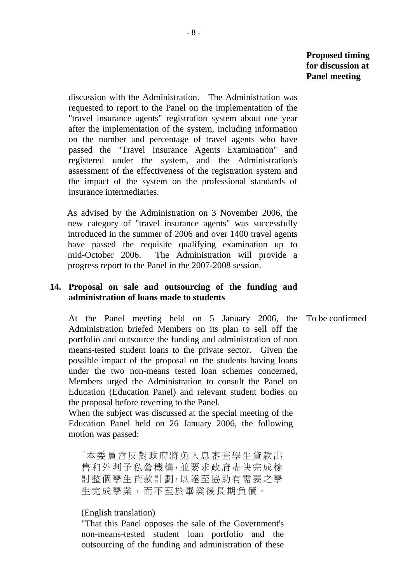discussion with the Administration. The Administration was requested to report to the Panel on the implementation of the "travel insurance agents" registration system about one year after the implementation of the system, including information on the number and percentage of travel agents who have passed the "Travel Insurance Agents Examination" and registered under the system, and the Administration's assessment of the effectiveness of the registration system and the impact of the system on the professional standards of insurance intermediaries.

As advised by the Administration on 3 November 2006, the new category of "travel insurance agents" was successfully introduced in the summer of 2006 and over 1400 travel agents have passed the requisite qualifying examination up to mid-October 2006. The Administration will provide a progress report to the Panel in the 2007-2008 session.

### **14. Proposal on sale and outsourcing of the funding and administration of loans made to students**

 At the Panel meeting held on 5 January 2006, the To be confirmed Administration briefed Members on its plan to sell off the portfolio and outsource the funding and administration of non means-tested student loans to the private sector. Given the possible impact of the proposal on the students having loans under the two non-means tested loan schemes concerned, Members urged the Administration to consult the Panel on Education (Education Panel) and relevant student bodies on the proposal before reverting to the Panel.

 When the subject was discussed at the special meeting of the Education Panel held on 26 January 2006, the following motion was passed:

"本委員會反對政府將免入息審查學生貸款出 售和外判予私營機構,並要求政府盡快完成檢 討整個學生貸款計劃,以達至協助有需要之學 生完成學業,而不至於畢業後長期負債。"

#### (English translation)

"That this Panel opposes the sale of the Government's non-means-tested student loan portfolio and the outsourcing of the funding and administration of these